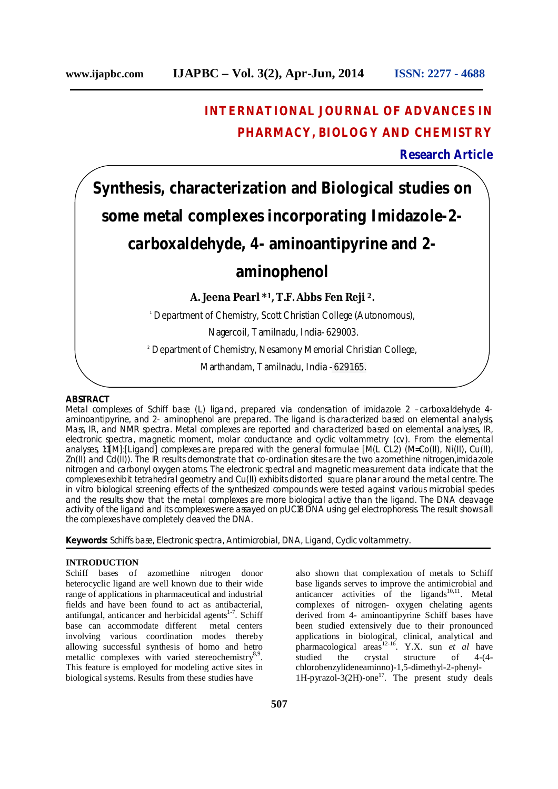# **INTERNATIONAL JOURNAL OF ADVANCES IN PHARMACY, BIOLOGY AND CHEMISTRY**

**Research Article**

# **Synthesis, characterization and Biological studies on some metal complexes incorporating Imidazole-2 carboxaldehyde, 4- aminoantipyrine and 2-**

# **aminophenol**

**A. Jeena Pearl \*1, T.F. Abbs Fen Reji 2.**

<sup>1</sup> Department of Chemistry, Scott Christian College (Autonomous),

Nagercoil, Tamilnadu, India- 629003.

<sup>2</sup> Department of Chemistry, Nesamony Memorial Christian College,

Marthandam, Tamilnadu, India - 629165.

#### **ABSTRACT**

Metal complexes of Schiff base (L) ligand, prepared via condensation of imidazole 2 –carboxaldehyde 4 aminoantipyrine, and 2- aminophenol are prepared. The ligand is characterized based on elemental analysis, Mass, IR, and NMR spectra. Metal complexes are reported and characterized based on elemental analyses, IR, electronic spectra, magnetic moment, molar conductance and cyclic voltammetry (cv). From the elemental analyses, 1:1[M]:[Ligand] complexes are prepared with the general formulae [M(L CL2) (M=Co(II), Ni(II), Cu(II), Zn(II) and Cd(II)). The IR results demonstrate that co-ordination sites are the two azomethine nitrogen,imidazole nitrogen and carbonyl oxygen atoms. The electronic spectral and magnetic measurement data indicate that the complexes exhibit tetrahedral geometry and Cu(II) exhibits distorted square planar around the metal centre. The in vitro biological screening effects of the synthesized compounds were tested against various microbial species and the results show that the metal complexes are more biological active than the ligand. The DNA cleavage activity of the ligand and its complexes were assayed on pUC18 DNA using gel electrophoresis. The result shows all the complexes have completely cleaved the DNA.

**Keywords:** Schiffs base, Electronic spectra, Antimicrobial, DNA, Ligand, Cyclic voltammetry.

# **INTRODUCTION**

Schiff bases of azomethine nitrogen donor heterocyclic ligand are well known due to their wide range of applications in pharmaceutical and industrial fields and have been found to act as antibacterial, antifungal, anticancer and herbicidal agents<sup>1-7</sup>. Schiff base can accommodate different metal centers involving various coordination modes thereby allowing successful synthesis of homo and hetro metallic complexes with varied stereochemistry<sup>8,9</sup>. This feature is employed for modeling active sites in biological systems. Results from these studies have

also shown that complexation of metals to Schiff base ligands serves to improve the antimicrobial and anticancer activities of the ligands $10,11$ . Metal complexes of nitrogen- oxygen chelating agents derived from 4- aminoantipyrine Schiff bases have been studied extensively due to their pronounced applications in biological, clinical, analytical and pharmacological areas12-16. Y.X. sun *et al* have studied the crystal structure of 4-(4 chlorobenzylideneaminno)-1,5-dimethyl-2-phenyl-1H-pyrazol-3(2H)-one<sup>17</sup>. The present study deals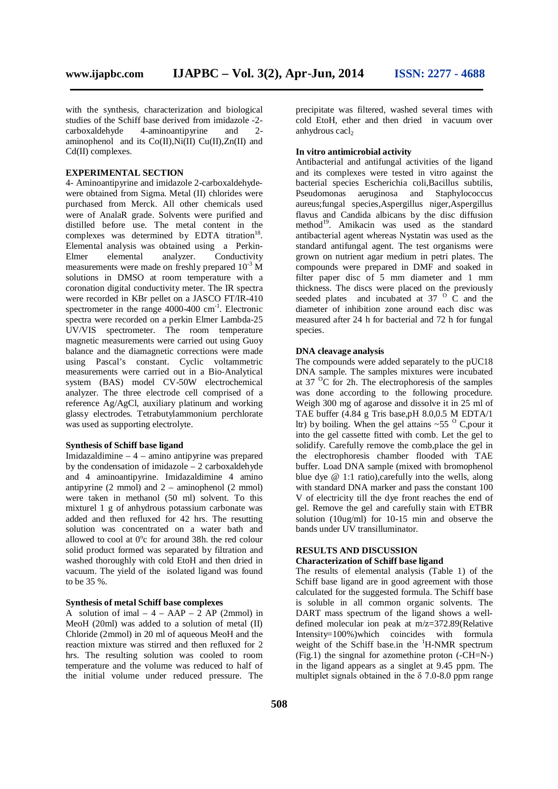with the synthesis, characterization and biological studies of the Schiff base derived from imidazole -2 carboxaldehyde 4-aminoantipyrine and 2 aminophenol and its  $Co(II),Ni(II)$   $Cu(II),Zn(II)$  and  $Cd(II)$  complexes.

## **EXPERIMENTAL SECTION**

4- Aminoantipyrine and imidazole 2-carboxaldehydewere obtained from Sigma. Metal (II) chlorides were purchased from Merck. All other chemicals used were of AnalaR grade. Solvents were purified and distilled before use. The metal content in the complexes was determined by EDTA titration<sup>18</sup>. Elemental analysis was obtained using a Perkin-Elmer elemental analyzer. Conductivity measurements were made on freshly prepared 10-3 M solutions in DMSO at room temperature with a coronation digital conductivity meter. The IR spectra were recorded in KBr pellet on a JASCO FT/IR-410 spectrometer in the range 4000-400 cm<sup>-1</sup>. Electronic spectra were recorded on a perkin Elmer Lambda-25 UV/VIS spectrometer. The room temperature magnetic measurements were carried out using Guoy balance and the diamagnetic corrections were made using Pascal's constant. Cyclic voltammetric measurements were carried out in a Bio-Analytical system (BAS) model CV-50W electrochemical analyzer. The three electrode cell comprised of a reference Ag/AgCl, auxiliary platinum and working glassy electrodes. Tetrabutylammonium perchlorate was used as supporting electrolyte.

#### **Synthesis of Schiff base ligand**

Imidazaldimine – 4 – amino antipyrine was prepared by the condensation of imidazole – 2 carboxaldehyde and 4 aminoantipyrine. Imidazaldimine 4 amino antipyrine  $(2 \text{ mmol})$  and  $2 - \text{ aminophenol}$   $(2 \text{ mmol})$ were taken in methanol (50 ml) solvent. To this mixturel 1 g of anhydrous potassium carbonate was added and then refluxed for 42 hrs. The resutting solution was concentrated on a water bath and allowed to cool at  $0^{\circ}$ c for around 38h. the red colour solid product formed was separated by filtration and washed thoroughly with cold EtoH and then dried in vacuum. The yield of the isolated ligand was found to be 35 %.

#### **Synthesis of metal Schiff base complexes**

A solution of imal  $-4 - AAP - 2$  AP (2mmol) in MeoH (20ml) was added to a solution of metal (II) Chloride (2mmol) in 20 ml of aqueous MeoH and the reaction mixture was stirred and then refluxed for 2 hrs. The resulting solution was cooled to room temperature and the volume was reduced to half of the initial volume under reduced pressure. The precipitate was filtered, washed several times with cold EtoH, ether and then dried in vacuum over anhydrous cacl<sub>2</sub>

#### **In vitro antimicrobial activity**

Antibacterial and antifungal activities of the ligand and its complexes were tested in vitro against the bacterial species Escherichia coli,Bacillus subtilis, Pseudomonas aeruginosa and Staphylococcus aureus;fungal species,Aspergillus niger,Aspergillus flavus and Candida albicans by the disc diffusion method<sup>19</sup>. Amikacin was used as the standard antibacterial agent whereas Nystatin was used as the standard antifungal agent. The test organisms were grown on nutrient agar medium in petri plates. The compounds were prepared in DMF and soaked in filter paper disc of 5 mm diameter and 1 mm thickness. The discs were placed on the previously seeded plates and incubated at  $37^\circ$  C and the diameter of inhibition zone around each disc was measured after 24 h for bacterial and 72 h for fungal species.

#### **DNA cleavage analysis**

The compounds were added separately to the pUC18 DNA sample. The samples mixtures were incubated at  $37 \text{ °C}$  for 2h. The electrophoresis of the samples was done according to the following procedure. Weigh 300 mg of agarose and dissolve it in 25 ml of TAE buffer (4.84 g Tris base,pH 8.0,0.5 M EDTA/1 ltr) by boiling. When the gel attains  $\sim$  55  $\rm{^{\circ}$  C, pour it into the gel cassette fitted with comb. Let the gel to solidify. Carefully remove the comb,place the gel in the electrophoresis chamber flooded with TAE buffer. Load DNA sample (mixed with bromophenol blue dye  $@ 1:1$  ratio), carefully into the wells, along with standard DNA marker and pass the constant 100 V of electricity till the dye front reaches the end of gel. Remove the gel and carefully stain with ETBR solution (10ug/ml) for 10-15 min and observe the bands under UV transilluminator.

# **RESULTS AND DISCUSSION**

### **Characterization of Schiff base ligand**

The results of elemental analysis (Table 1) of the Schiff base ligand are in good agreement with those calculated for the suggested formula. The Schiff base is soluble in all common organic solvents. The DART mass spectrum of the ligand shows a welldefined molecular ion peak at m/z=372.89(Relative Intensity=100%)which coincides with formula weight of the Schiff base.in the  $H-MMR$  spectrum (Fig.1) the singnal for azomethine proton (-CH=N-) in the ligand appears as a singlet at 9.45 ppm. The multiplet signals obtained in the  $\delta$  7.0-8.0 ppm range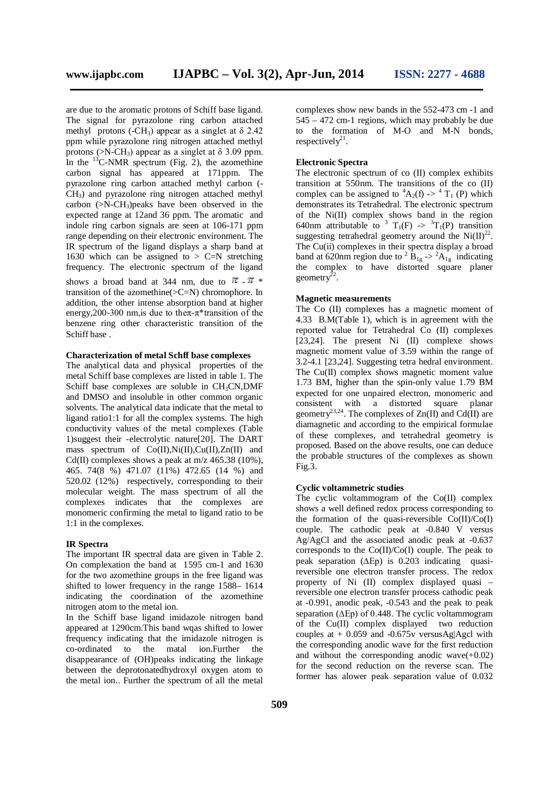are due to the aromatic protons of Schiff base ligand. The signal for pyrazolone ring carbon attached methyl protons (-CH<sub>3</sub>) appear as a singlet at  $\delta$  2.42 ppm while pyrazolone ring nitrogen attached methyl protons ( $>N-CH_3$ ) appear as a singlet at  $\delta$  3.09 ppm. In the  $^{13}$ C-NMR spectrum (Fig. 2), the azomethine carbon signal has appeared at 171ppm. The pyrazolone ring carbon attached methyl carbon (- CH3) and pyrazolone ring nitrogen attached methyl carbon  $(>N-CH_3)$  peaks have been observed in the expected range at 12and 36 ppm. The aromatic and indole ring carbon signals are seen at 106-171 ppm range depending on their electronic environment. The IR spectrum of the ligand displays a sharp band at 1630 which can be assigned to  $> C=N$  stretching frequency. The electronic spectrum of the ligand shows a broad band at 344 nm, due to  $\pi - \pi *$ transition of the azomethine( $>C=N$ ) chromophore. In addition, the other intense absorption band at higher energy, 200-300 nm, is due to the  $\pi$ - $\pi$ <sup>\*</sup> transition of the benzene ring other characteristic transition of the

#### **Characterization of metal Schff base complexes**

The analytical data and physical properties of the metal Schiff base complexes are listed in table 1. The Schiff base complexes are soluble in  $CH<sub>3</sub>CN, DMF$ and DMSO and insoluble in other common organic solvents. The analytical data indicate that the metal to ligand ratio1:1 for all the complex systems. The high conductivity values of the metal complexes (Table 1)suggest their -electrolytic nature[20]. The DART mass spectrum of Co(II),Ni(II),Cu(II),Zn(II) and Cd(II) complexes shows a peak at  $m/z$  465.38 (10%), 465. 74(8 %) 471.07 (11%) 472.65 (14 %) and 520.02 (12%) respectively, corresponding to their molecular weight. The mass spectrum of all the complexes indicates that the complexes are monomeric confirming the metal to ligand ratio to be 1:1 in the complexes.

#### **IR Spectra**

Schiff base .

The important IR spectral data are given in Table 2. On complexation the band at 1595 cm-1 and 1630 for the two azomethine groups in the free ligand was shifted to lower frequency in the range 1588– 1614 indicating the coordination of the azomethine nitrogen atom to the metal ion.

In the Schiff base ligand imidazole nitrogen band appeared at 1290cm.This band wqas shifted to lower frequency indicating that the imidazole nitrogen is co-ordinated to the matal ion.Further the disappearance of (OH)peaks indicating the linkage between the deprotonatedhydroxyl oxygen atom to the metal ion.. Further the spectrum of all the metal

complexes show new bands in the 552-473 cm -1 and 545 – 472 cm-1 regions, which may probably be due to the formation of M-O and M-N bonds, respectively<sup>21</sup>.

#### **Electronic Spectra**

The electronic spectrum of co (II) complex exhibits transition at  $550$ nm. The transitions of the co (II) complex can be assigned to  ${}^4A_2(f) \rightarrow {}^4T_1(P)$  which demonstrates its Tetrahedral. The electronic spectrum of the Ni(II) complex shows band in the region 640nm attributable to <sup>3</sup> T<sub>1</sub>(F)  $\rightarrow$  <sup>3</sup>T<sub>1</sub>(P) transition suggesting tetrahedral geometry around the  $Ni(\text{II})^{22}$ . The Cu(ii) complexes in their spectra display a broad band at 620nm region due to  $2 B_{1g} > 2 A_{1g}$  indicating the complex to have distorted square planer geometry<sup> $22$ </sup>.

#### **Magnetic measurements**

The Co (II) complexes has a magnetic moment of 4.33 B.M(Table 1), which is in agreement with the reported value for Tetrahedral Co (II) complexes [23,24]. The present Ni (II) complexe shows magnetic moment value of 3.59 within the range of 3.2-4.1 [23,24]. Suggesting tetra hedral environment. The  $Cu(II)$  complex shows magnetic moment value 1.73 BM, higher than the spin-only value 1.79 BM expected for one unpaired electron, monomeric and consistent with a distorted square planar geometry<sup>23,24</sup>. The complexes of  $Zn(II)$  and Cd(II) are diamagnetic and according to the empirical formulae of these complexes, and tetrahedral geometry is proposed. Based on the above results, one can deduce the probable structures of the complexes as shown  $Fig.3.$ 

#### **Cyclic voltammetric studies**

The cyclic voltammogram of the Co(II) complex shows a well defined redox process corresponding to the formation of the quasi-reversible  $Co(II)/Co(I)$ couple. The cathodic peak at -0.840 V versus Ag/AgCl and the associated anodic peak at -0.637 corresponds to the  $Co(II)/Co(I)$  couple. The peak to peak separation (∆Ep) is 0.203 indicating quasireversible one electron transfer process. The redox property of Ni (II) complex displayed quasi – reversible one electron transfer process cathodic peak at -0.991, anodic peak, -0.543 and the peak to peak separation (ΔEp) of 0.448. The cyclic voltammogram of the Cu(II) complex displayed two reduction couples at  $+ 0.059$  and  $-0.675v$  versusAg|Agcl with the corresponding anodic wave for the first reduction and without the corresponding anodic wave $(+0.02)$ for the second reduction on the reverse scan. The former has alower peak separation value of 0.032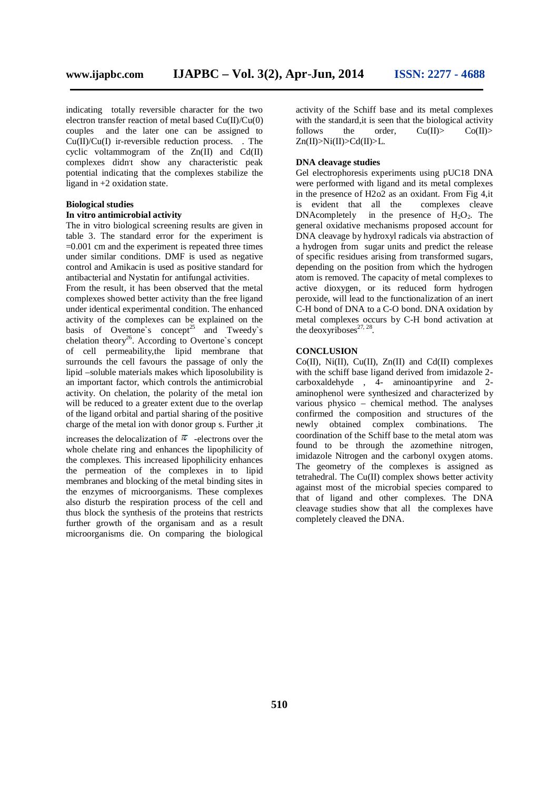indicating totally reversible character for the two electron transfer reaction of metal based  $Cu(II)/Cu(0)$ couples and the later one can be assigned to Cu(II)/Cu(I) ir-reversible reduction process. . The cyclic voltammogram of the  $Zn(II)$  and  $Cd(II)$ complexes didn't show any characteristic peak potential indicating that the complexes stabilize the ligand in +2 oxidation state.

# **Biological studies**

## **In vitro antimicrobial activity**

The in vitro biological screening results are given in table 3. The standard error for the experiment is  $=0.001$  cm and the experiment is repeated three times under similar conditions. DMF is used as negative control and Amikacin is used as positive standard for antibacterial and Nystatin for antifungal activities.

From the result, it has been observed that the metal complexes showed better activity than the free ligand under identical experimental condition. The enhanced activity of the complexes can be explained on the basis of Overtone's concept<sup>25</sup> and Tweedy's chelation theory<sup>26</sup>. According to Overtone's concept of cell permeability,the lipid membrane that surrounds the cell favours the passage of only the lipid –soluble materials makes which liposolubility is an important factor, which controls the antimicrobial activity. On chelation, the polarity of the metal ion will be reduced to a greater extent due to the overlap of the ligand orbital and partial sharing of the positive charge of the metal ion with donor group s. Further ,it

increases the delocalization of  $\pi$  -electrons over the whole chelate ring and enhances the lipophilicity of the complexes. This increased lipophilicity enhances the permeation of the complexes in to lipid membranes and blocking of the metal binding sites in the enzymes of microorganisms. These complexes also disturb the respiration process of the cell and thus block the synthesis of the proteins that restricts further growth of the organisam and as a result microorganisms die. On comparing the biological

activity of the Schiff base and its metal complexes with the standard, it is seen that the biological activity follows the order,  $Cu(II)$ >  $Co(II)$ > Zn(II)>Ni(II)>Cd(II)>L.

#### **DNA cleavage studies**

Gel electrophoresis experiments using pUC18 DNA were performed with ligand and its metal complexes in the presence of H2o2 as an oxidant. From Fig 4, it<br>is evident that all the complexes cleave is evident that all the DNAcompletely in the presence of  $H_2O_2$ . The general oxidative mechanisms proposed account for DNA cleavage by hydroxyl radicals via abstraction of a hydrogen from sugar units and predict the release of specific residues arising from transformed sugars, depending on the position from which the hydrogen atom is removed. The capacity of metal complexes to active dioxygen, or its reduced form hydrogen peroxide, will lead to the functionalization of an inert C-H bond of DNA to a C-O bond. DNA oxidation by metal complexes occurs by C-H bond activation at the deoxyriboses $27, 28$ .

#### **CONCLUSION**

 $Co(II)$ , Ni $(II)$ ,  $Cu(II)$ , Zn $(II)$  and  $Cd(II)$  complexes with the schiff base ligand derived from imidazole 2 carboxaldehyde , 4- aminoantipyrine and 2 aminophenol were synthesized and characterized by various physico – chemical method. The analyses confirmed the composition and structures of the newly obtained complex combinations. The coordination of the Schiff base to the metal atom was found to be through the azomethine nitrogen, imidazole Nitrogen and the carbonyl oxygen atoms. The geometry of the complexes is assigned as tetrahedral. The Cu(II) complex shows better activity against most of the microbial species compared to that of ligand and other complexes. The DNA cleavage studies show that all the complexes have completely cleaved the DNA.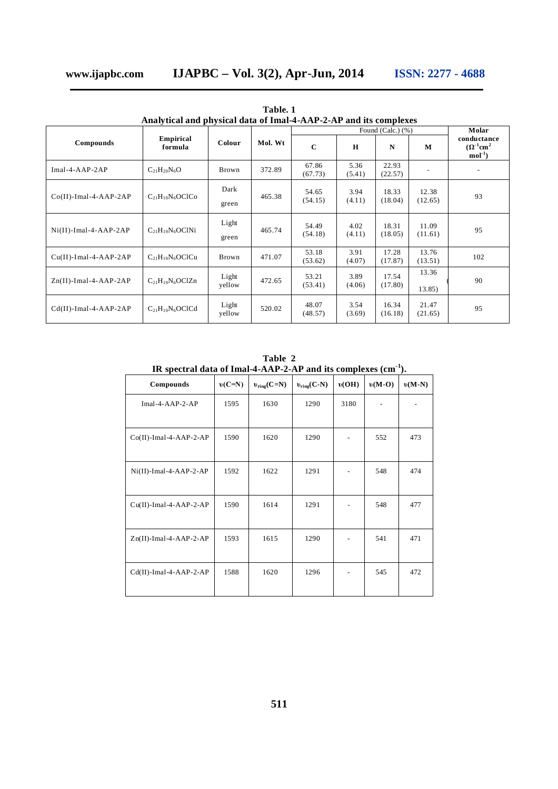| Analytical and physical data of Imal-4-AAP-2-AP and its complexes |                         |                 |         |                       |                |                  |                  |                                                          |
|-------------------------------------------------------------------|-------------------------|-----------------|---------|-----------------------|----------------|------------------|------------------|----------------------------------------------------------|
|                                                                   | Empirical<br>formula    | Colour          | Mol. Wt | Found (Calc.) $(\% )$ |                |                  |                  | Molar                                                    |
| Compounds                                                         |                         |                 |         | $\mathbf C$           | $\bf H$        | N                | М                | conductance<br>$(\Omega^{-1}$ cm <sup>2</sup><br>$mol-1$ |
| $Imal-4-AAP-2AP$                                                  | $C_{21}H_{20}N_6O$      | Brown           | 372.89  | 67.86<br>(67.73)      | 5.36<br>(5.41) | 22.93<br>(22.57) |                  |                                                          |
| $Co(II)$ -Imal-4-AAP-2AP                                          | $C_{21}H_{19}N_6OClCo$  | Dark<br>green   | 465.38  | 54.65<br>(54.15)      | 3.94<br>(4.11) | 18.33<br>(18.04) | 12.38<br>(12.65) | 93                                                       |
| $Ni(II)$ -Imal-4-AAP-2AP                                          | $C_{21}H_{19}N_6OClNi$  | Light<br>green  | 465.74  | 54.49<br>(54.18)      | 4.02<br>(4.11) | 18.31<br>(18.05) | 11.09<br>(11.61) | 95                                                       |
| $Cu(II)$ -Imal-4-AAP-2AP                                          | $C_{21}H_{19}N_6OClCu$  | Brown           | 471.07  | 53.18<br>(53.62)      | 3.91<br>(4.07) | 17.28<br>(17.87) | 13.76<br>(13.51) | 102                                                      |
| $Zn(II)$ -Imal-4-AAP-2AP                                          | $C_{21}H_{19}N_6OClZn$  | Light<br>yellow | 472.65  | 53.21<br>(53.41)      | 3.89<br>(4.06) | 17.54<br>(17.80) | 13.36<br>13.85   | 90                                                       |
| $Cd(II)$ -Imal-4-AAP-2AP                                          | $C_{21}H_{19}N_6$ OClCd | Light<br>yellow | 520.02  | 48.07<br>(48.57)      | 3.54<br>(3.69) | 16.34<br>(16.18) | 21.47<br>(21.65) | 95                                                       |

**Table. 1 Analytical and physical data of Imal-4-AAP-2-AP and its complexes**

|                                                                  | Table 2 |  |  |
|------------------------------------------------------------------|---------|--|--|
| IR spectral data of Imal-4-AAP-2-AP and its complexes $(cm-1)$ . |         |  |  |
|                                                                  |         |  |  |

| Compounds                 | $v(C=N)$ | $v_{ring}(C=N)$ | $v_{ring}(C-N)$ | v(OH) | $v(M-O)$ | $v(M-N)$ |
|---------------------------|----------|-----------------|-----------------|-------|----------|----------|
|                           |          |                 |                 |       |          |          |
| $Imal-4-AAP-2-AP$         | 1595     | 1630            | 1290            | 3180  |          |          |
| $Co(II)$ -Imal-4-AAP-2-AP | 1590     | 1620            | 1290            |       | 552      | 473      |
| $Ni(II)$ -Imal-4-AAP-2-AP | 1592     | 1622            | 1291            |       | 548      | 474      |
| $Cu(II)$ -Imal-4-AAP-2-AP | 1590     | 1614            | 1291            |       | 548      | 477      |
| $Zn(II)$ -Imal-4-AAP-2-AP | 1593     | 1615            | 1290            |       | 541      | 471      |
| Cd(II)-Imal-4-AAP-2-AP    | 1588     | 1620            | 1296            |       | 545      | 472      |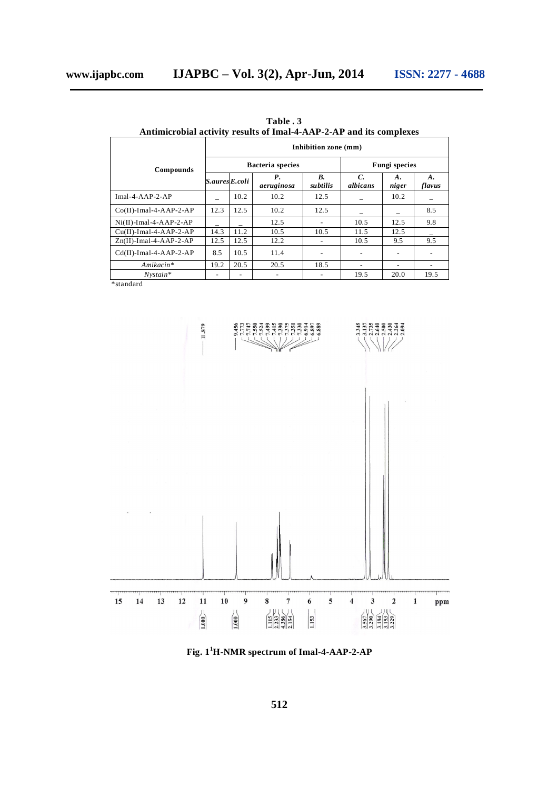|                           |                | Inhibition zone (mm) |                         |                      |                           |             |              |  |  |
|---------------------------|----------------|----------------------|-------------------------|----------------------|---------------------------|-------------|--------------|--|--|
| Compounds                 |                |                      | <b>Bacteria</b> species | <b>Fungi species</b> |                           |             |              |  |  |
|                           | S.aures E.coli |                      | Р.<br>aeruginosa        | В.<br>subtilis       | $\mathcal{C}$<br>albicans | A.<br>niger | A.<br>flavus |  |  |
| $Imal-4-AP-2-AP$          |                | 10.2                 | 10.2                    | 12.5                 |                           | 10.2        |              |  |  |
| $Co(II)$ -Imal-4-AAP-2-AP | 12.3           | 12.5                 | 10.2                    | 12.5                 |                           |             | 8.5          |  |  |
| $Ni(II)$ -Imal-4-AAP-2-AP |                |                      | 12.5                    | $\overline{a}$       | 10.5                      | 12.5        | 9.8          |  |  |
| $Cu(II)$ -Imal-4-AAP-2-AP | 14.3           | 11.2                 | 10.5                    | 10.5                 | 11.5                      | 12.5        |              |  |  |
| $Zn(II)$ -Imal-4-AAP-2-AP | 12.5           | 12.5                 | 12.2                    | -                    | 10.5                      | 9.5         | 9.5          |  |  |
| $Cd(II)$ -Imal-4-AAP-2-AP | 8.5            | 10.5                 | 11.4                    | ۰                    |                           |             |              |  |  |
| Amikacin*                 | 19.2           | 20.5                 | 20.5                    | 18.5                 |                           |             | ۰            |  |  |
| $Nvstain*$                | -              |                      |                         |                      | 19.5                      | 20.0        | 19.5         |  |  |

 **Table . 3 Antimicrobial activity results of Imal-4-AAP-2-AP and its complexes**

\*standard



**Fig. 1<sup>1</sup>H-NMR spectrum of Imal-4-AAP-2-AP**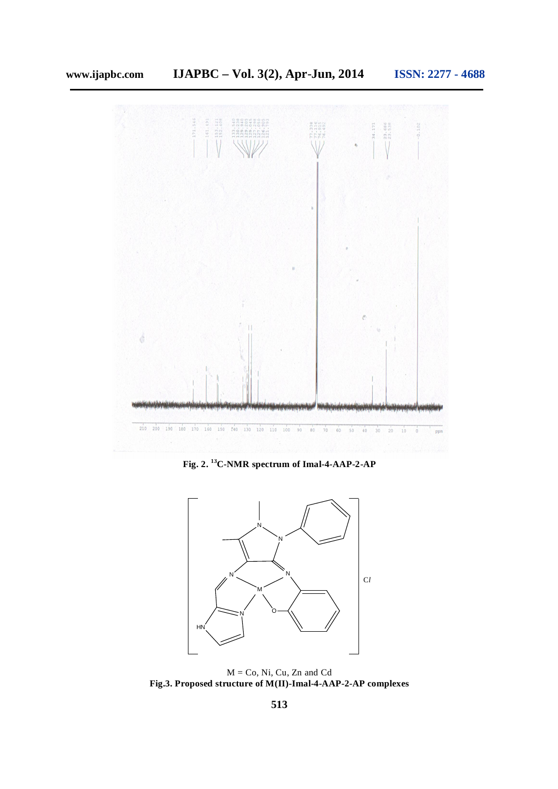

**Fig. 2. <sup>13</sup>C-NMR spectrum of Imal-4-AAP-2-AP**



 $M = Co$ , Ni, Cu, Zn and Cd **Fig.3. Proposed structure of M(II)-Imal-4-AAP-2-AP complexes**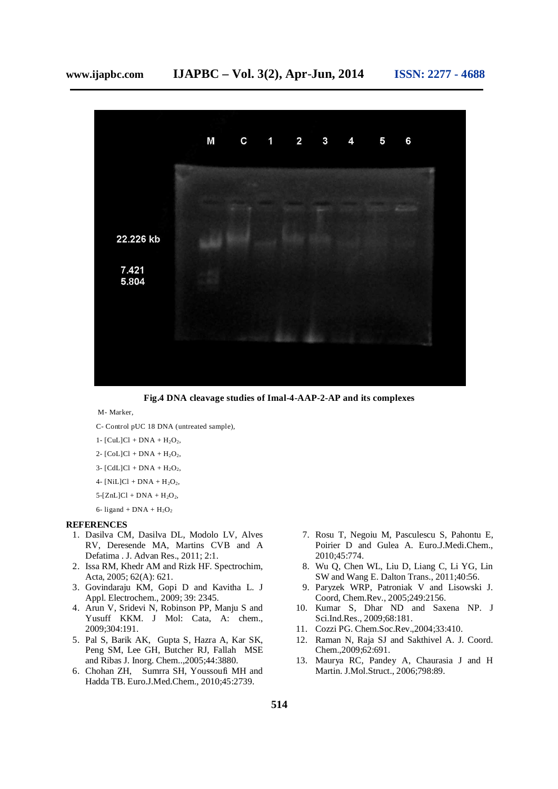

**Fig.4 DNA cleavage studies of Imal-4-AAP-2-AP and its complexes**

M- Marker,

- C- Control pUC 18 DNA (untreated sample),
- 1-  $[CuL]Cl + DNA + H<sub>2</sub>O<sub>2</sub>$ ,
- 2-  $[CoL]Cl + DNA + H<sub>2</sub>O<sub>2</sub>$ ,
- 3-  $[CdL]Cl + DNA + H<sub>2</sub>O<sub>2</sub>$ ,
- 4-  $[NiL]Cl + DNA + H<sub>2</sub>O<sub>2</sub>$ ,
- $5-[ZnL]Cl + DNA + H<sub>2</sub>O<sub>2</sub>$ ,
- 6- ligand +  $DNA + H<sub>2</sub>O<sub>2</sub>$

#### **REFERENCES**

- 1. Dasilva CM, Dasilva DL, Modolo LV, Alves RV, Deresende MA, Martins CVB and A Defatima . J. Advan Res., 2011; 2:1.
- 2. Issa RM, Khedr AM and Rizk HF. Spectrochim, Acta, 2005; 62(A): 621.
- 3. Govindaraju KM, Gopi D and Kavitha L. J Appl. Electrochem., 2009; 39: 2345.
- 4. Arun V, Sridevi N, Robinson PP, Manju S and Yusuff KKM. J Mol: Cata, A: chem., 2009;304:191.
- 5. Pal S, Barik AK, Gupta S, Hazra A, Kar SK, Peng SM, Lee GH, Butcher RJ, Fallah MSE and Ribas J. Inorg. Chem..,2005;44:3880.
- 6. Chohan ZH, Sumrra SH, Youssoufi MH and Hadda TB. Euro.J.Med.Chem., 2010;45:2739.
- 7. Rosu T, Negoiu M, Pasculescu S, Pahontu E, Poirier D and Gulea A. Euro.J.Medi.Chem., 2010;45:774.
- 8. Wu Q, Chen WL, Liu D, Liang C, Li YG, Lin SW and Wang E. Dalton Trans., 2011;40:56.
- 9. Paryzek WRP, Patroniak V and Lisowski J. Coord, Chem.Rev., 2005;249:2156.
- 10. Kumar S, Dhar ND and Saxena NP. J Sci.Ind.Res., 2009;68:181.
- 11. Cozzi PG. Chem.Soc.Rev.,2004;33:410.
- 12. Raman N, Raja SJ and Sakthivel A. J. Coord. Chem.,2009;62:691.
- 13. Maurya RC, Pandey A, Chaurasia J and H Martin. J.Mol.Struct., 2006;798:89.